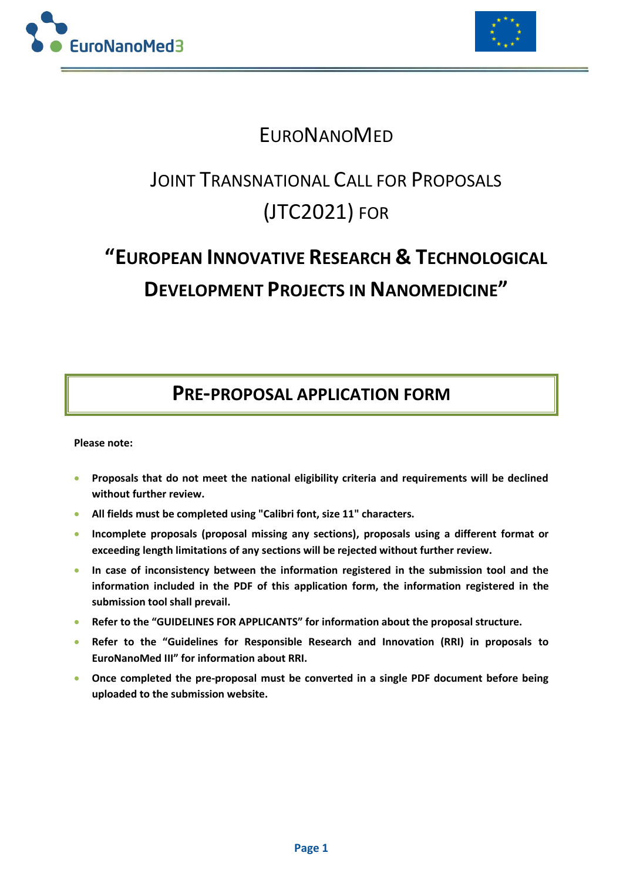



## **EURONANOMED**

# JOINT TRANSNATIONAL CALL FOR PROPOSALS (JTC2021) FOR

# **"EUROPEAN INNOVATIVE RESEARCH & TECHNOLOGICAL DEVELOPMENT PROJECTS IN NANOMEDICINE"**

## **PRE-PROPOSAL APPLICATION FORM**

**Please note:**

- **Proposals that do not meet the national eligibility criteria and requirements will be declined without further review.**
- **All fields must be completed using "Calibri font, size 11" characters.**
- **Incomplete proposals (proposal missing any sections), proposals using a different format or exceeding length limitations of any sections will be rejected without further review.**
- **In case of inconsistency between the information registered in the submission tool and the information included in the PDF of this application form, the information registered in the submission tool shall prevail.**
- **Refer to the "GUIDELINES FOR APPLICANTS" for information about the proposal structure.**
- **Refer to the "Guidelines for Responsible Research and Innovation (RRI) in proposals to EuroNanoMed III" for information about RRI.**
- **Once completed the pre-proposal must be converted in a single PDF document before being uploaded to the submission website.**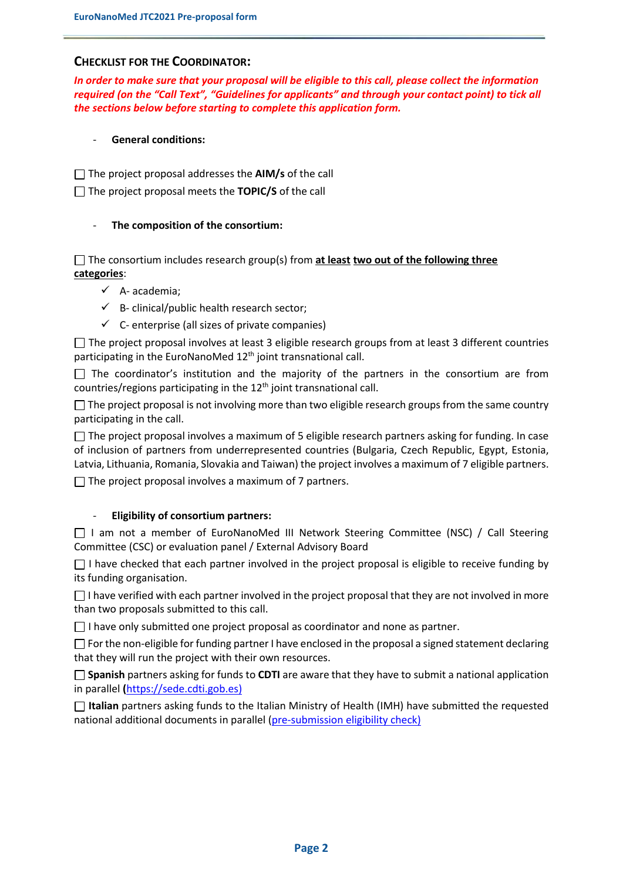#### **CHECKLIST FOR THE COORDINATOR:**

*In order to make sure that your proposal will be eligible to this call, please collect the information required (on the "Call Text", "Guidelines for applicants" and through your contact point) to tick all the sections below before starting to complete this application form.*

#### - **General conditions:**

The project proposal addresses the **AIM/s** of the call

The project proposal meets the **TOPIC/S** of the call

#### - **The composition of the consortium:**

The consortium includes research group(s) from **at least two out of the following three categories**:

- $\checkmark$  A- academia;
- $\checkmark$  B- clinical/public health research sector;
- $\checkmark$  C- enterprise (all sizes of private companies)

 $\Box$  The project proposal involves at least 3 eligible research groups from at least 3 different countries participating in the EuroNanoMed 12<sup>th</sup> joint transnational call.

 $\Box$  The coordinator's institution and the majority of the partners in the consortium are from countries/regions participating in the 12<sup>th</sup> joint transnational call.

 $\Box$  The project proposal is not involving more than two eligible research groups from the same country participating in the call.

 $\Box$  The project proposal involves a maximum of 5 eligible research partners asking for funding. In case of inclusion of partners from underrepresented countries (Bulgaria, Czech Republic, Egypt, Estonia, Latvia, Lithuania, Romania, Slovakia and Taiwan) the project involves a maximum of 7 eligible partners.

 $\Box$  The project proposal involves a maximum of 7 partners.

#### - **Eligibility of consortium partners:**

 $\Box$  I am not a member of EuroNanoMed III Network Steering Committee (NSC) / Call Steering Committee (CSC) or evaluation panel / External Advisory Board

 $\Box$  I have checked that each partner involved in the project proposal is eligible to receive funding by its funding organisation.

 $\Box$  I have verified with each partner involved in the project proposal that they are not involved in more than two proposals submitted to this call.

 $\Box$  I have only submitted one project proposal as coordinator and none as partner.

 $\Box$  For the non-eligible for funding partner I have enclosed in the proposal a signed statement declaring that they will run the project with their own resources.

**Spanish** partners asking for funds to **CDTI** are aware that they have to submit a national application in parallel **(**[https://sede.cdti.gob.es\)](https://sede.cdti.gob.es/)

**Italian** partners asking funds to the Italian Ministry of Health (IMH) have submitted the requested national additional documents in parallel [\(pre-submission eligibility check\)](http://www.salute.gov.it/imgs/C_17_pagineAree_4441_listaFile_itemName_0_file.pdf)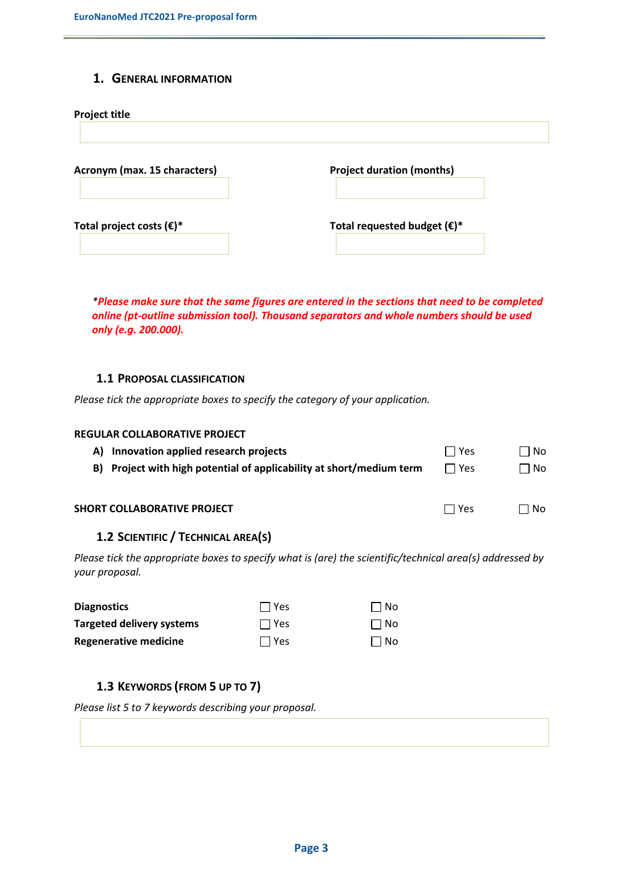#### **1. GENERAL INFORMATION**

| Acronym (max. 15 characters)       | <b>Project duration (months)</b>      |
|------------------------------------|---------------------------------------|
| Total project costs $(\epsilon)^*$ | Total requested budget $(\epsilon)^*$ |

*\*Please make sure that the same figures are entered in the sections that need to be completed online (pt-outline submission tool). Thousand separators and whole numbers should be used only (e.g. 200.000).*

#### **1.1 PROPOSAL CLASSIFICATION**

*Please tick the appropriate boxes to specify the category of your application.*

#### **REGULAR COLLABORATIVE PROJECT**

| A) Innovation applied research projects                              | $\Box$ Yes | $\Box$ No |
|----------------------------------------------------------------------|------------|-----------|
| B) Project with high potential of applicability at short/medium term | $\Box$ Yes | $\Box$ No |

#### **SHORT COLLABORATIVE PROJECT No CONSUMING THE COLLABORATIVE PROJECT**

| Yes | $\Box$ No |
|-----|-----------|

#### **1.2 SCIENTIFIC / TECHNICAL AREA(S)**

*Please tick the appropriate boxes to specify what is (are) the scientific/technical area(s) addressed by your proposal.*

| <b>Diagnostics</b>               | l I Yes    | l INo     |
|----------------------------------|------------|-----------|
| <b>Targeted delivery systems</b> | $\Box$ Yes | $\Box$ No |
| <b>Regenerative medicine</b>     | $\Box$ Yes | $\Box$ No |

#### **1.3 KEYWORDS (FROM 5 UP TO 7)**

*Please list 5 to 7 keywords describing your proposal.*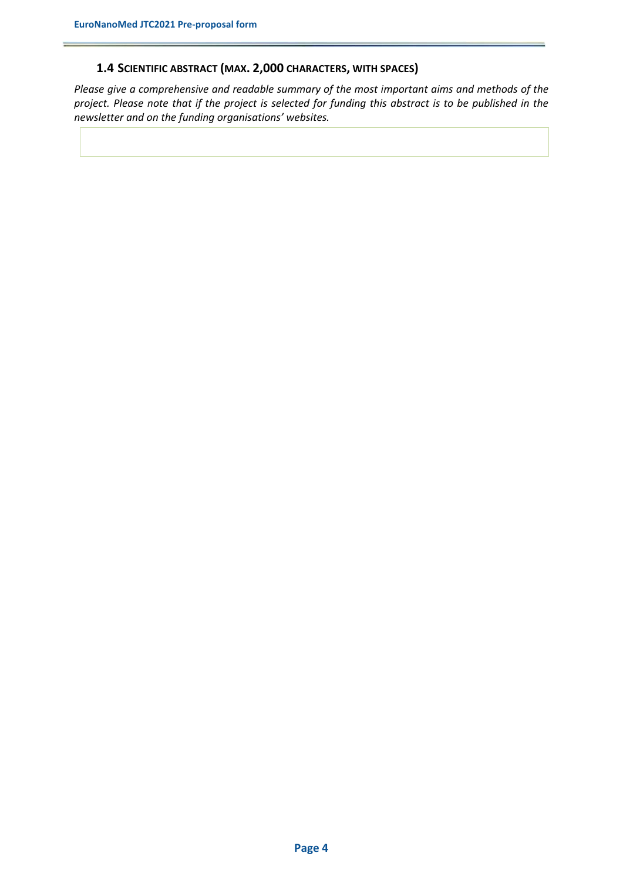#### **1.4 SCIENTIFIC ABSTRACT (MAX. 2,000 CHARACTERS, WITH SPACES)**

*Please give a comprehensive and readable summary of the most important aims and methods of the project. Please note that if the project is selected for funding this abstract is to be published in the newsletter and on the funding organisations' websites.*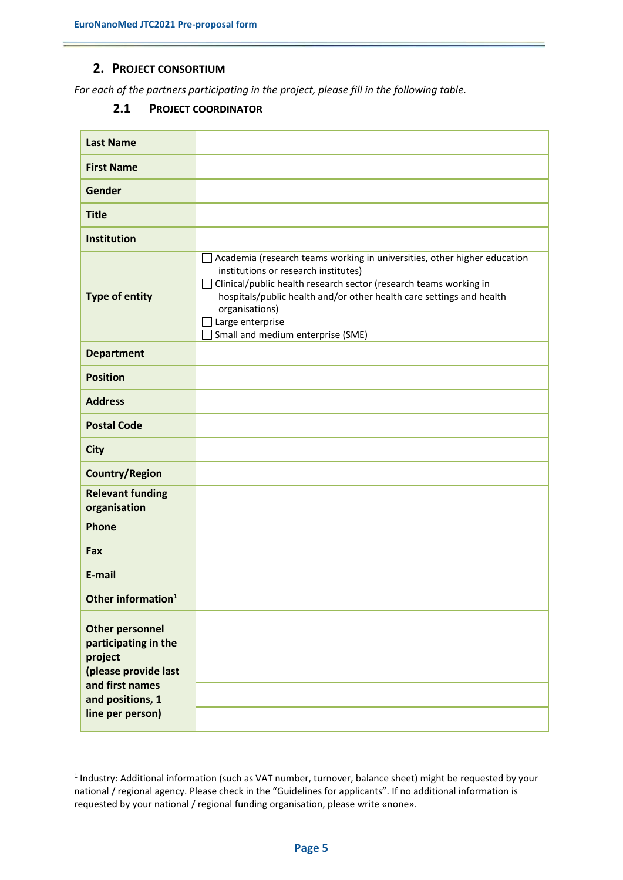#### **2. PROJECT CONSORTIUM**

l

*For each of the partners participating in the project, please fill in the following table.*

#### **2.1 PROJECT COORDINATOR**

| <b>Last Name</b>                                                                                                                             |                                                                                                                                                                                                                                                                                                                                            |
|----------------------------------------------------------------------------------------------------------------------------------------------|--------------------------------------------------------------------------------------------------------------------------------------------------------------------------------------------------------------------------------------------------------------------------------------------------------------------------------------------|
| <b>First Name</b>                                                                                                                            |                                                                                                                                                                                                                                                                                                                                            |
| Gender                                                                                                                                       |                                                                                                                                                                                                                                                                                                                                            |
| <b>Title</b>                                                                                                                                 |                                                                                                                                                                                                                                                                                                                                            |
| Institution                                                                                                                                  |                                                                                                                                                                                                                                                                                                                                            |
| <b>Type of entity</b>                                                                                                                        | □ Academia (research teams working in universities, other higher education<br>institutions or research institutes)<br>Clinical/public health research sector (research teams working in<br>hospitals/public health and/or other health care settings and health<br>organisations)<br>Large enterprise<br>Small and medium enterprise (SME) |
| <b>Department</b>                                                                                                                            |                                                                                                                                                                                                                                                                                                                                            |
| <b>Position</b>                                                                                                                              |                                                                                                                                                                                                                                                                                                                                            |
| <b>Address</b>                                                                                                                               |                                                                                                                                                                                                                                                                                                                                            |
| <b>Postal Code</b>                                                                                                                           |                                                                                                                                                                                                                                                                                                                                            |
| <b>City</b>                                                                                                                                  |                                                                                                                                                                                                                                                                                                                                            |
| <b>Country/Region</b>                                                                                                                        |                                                                                                                                                                                                                                                                                                                                            |
| <b>Relevant funding</b><br>organisation                                                                                                      |                                                                                                                                                                                                                                                                                                                                            |
| <b>Phone</b>                                                                                                                                 |                                                                                                                                                                                                                                                                                                                                            |
| Fax                                                                                                                                          |                                                                                                                                                                                                                                                                                                                                            |
| E-mail                                                                                                                                       |                                                                                                                                                                                                                                                                                                                                            |
| Other information <sup>1</sup>                                                                                                               |                                                                                                                                                                                                                                                                                                                                            |
| <b>Other personnel</b><br>participating in the<br>project<br>(please provide last<br>and first names<br>and positions, 1<br>line per person) |                                                                                                                                                                                                                                                                                                                                            |

<sup>&</sup>lt;sup>1</sup> Industry: Additional information (such as VAT number, turnover, balance sheet) might be requested by your national / regional agency. Please check in the "Guidelines for applicants". If no additional information is requested by your national / regional funding organisation, please write «none».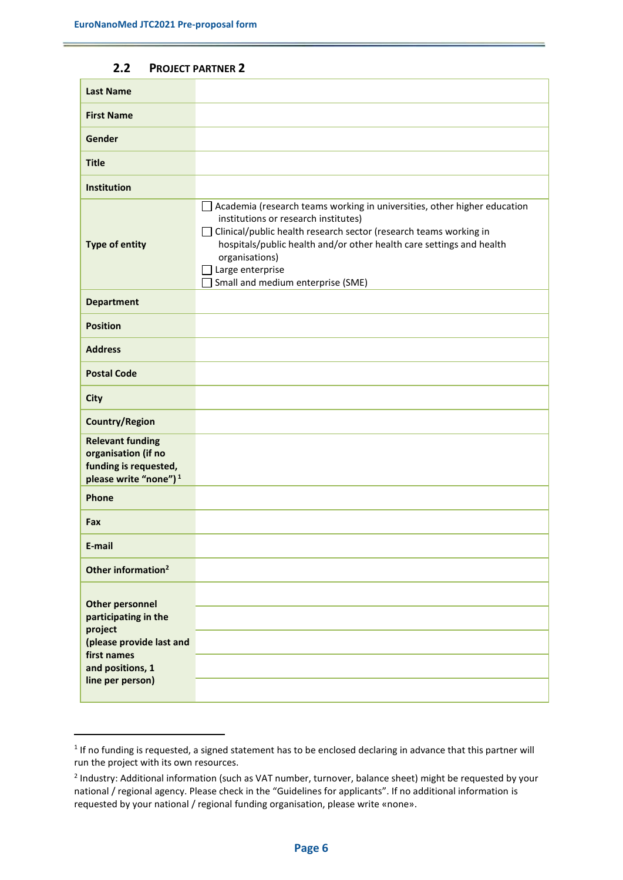#### **2.2 PROJECT PARTNER 2**

| <b>Last Name</b>                                                                                                                             |                                                                                                                                                                                                                                                                                                                                                 |
|----------------------------------------------------------------------------------------------------------------------------------------------|-------------------------------------------------------------------------------------------------------------------------------------------------------------------------------------------------------------------------------------------------------------------------------------------------------------------------------------------------|
| <b>First Name</b>                                                                                                                            |                                                                                                                                                                                                                                                                                                                                                 |
| Gender                                                                                                                                       |                                                                                                                                                                                                                                                                                                                                                 |
| <b>Title</b>                                                                                                                                 |                                                                                                                                                                                                                                                                                                                                                 |
| Institution                                                                                                                                  |                                                                                                                                                                                                                                                                                                                                                 |
| <b>Type of entity</b>                                                                                                                        | $\Box$ Academia (research teams working in universities, other higher education<br>institutions or research institutes)<br>Clinical/public health research sector (research teams working in<br>hospitals/public health and/or other health care settings and health<br>organisations)<br>Large enterprise<br>Small and medium enterprise (SME) |
| <b>Department</b>                                                                                                                            |                                                                                                                                                                                                                                                                                                                                                 |
| <b>Position</b>                                                                                                                              |                                                                                                                                                                                                                                                                                                                                                 |
| <b>Address</b>                                                                                                                               |                                                                                                                                                                                                                                                                                                                                                 |
| <b>Postal Code</b>                                                                                                                           |                                                                                                                                                                                                                                                                                                                                                 |
| <b>City</b>                                                                                                                                  |                                                                                                                                                                                                                                                                                                                                                 |
| <b>Country/Region</b>                                                                                                                        |                                                                                                                                                                                                                                                                                                                                                 |
| <b>Relevant funding</b><br>organisation (if no<br>funding is requested,<br>please write "none") <sup>1</sup>                                 |                                                                                                                                                                                                                                                                                                                                                 |
| Phone                                                                                                                                        |                                                                                                                                                                                                                                                                                                                                                 |
| Fax                                                                                                                                          |                                                                                                                                                                                                                                                                                                                                                 |
| E-mail                                                                                                                                       |                                                                                                                                                                                                                                                                                                                                                 |
| Other information <sup>2</sup>                                                                                                               |                                                                                                                                                                                                                                                                                                                                                 |
| <b>Other personnel</b><br>participating in the<br>project<br>(please provide last and<br>first names<br>and positions, 1<br>line per person) |                                                                                                                                                                                                                                                                                                                                                 |

 $1$  If no funding is requested, a signed statement has to be enclosed declaring in advance that this partner will run the project with its own resources.

<sup>&</sup>lt;sup>2</sup> Industry: Additional information (such as VAT number, turnover, balance sheet) might be requested by your national / regional agency. Please check in the "Guidelines for applicants". If no additional information is requested by your national / regional funding organisation, please write «none».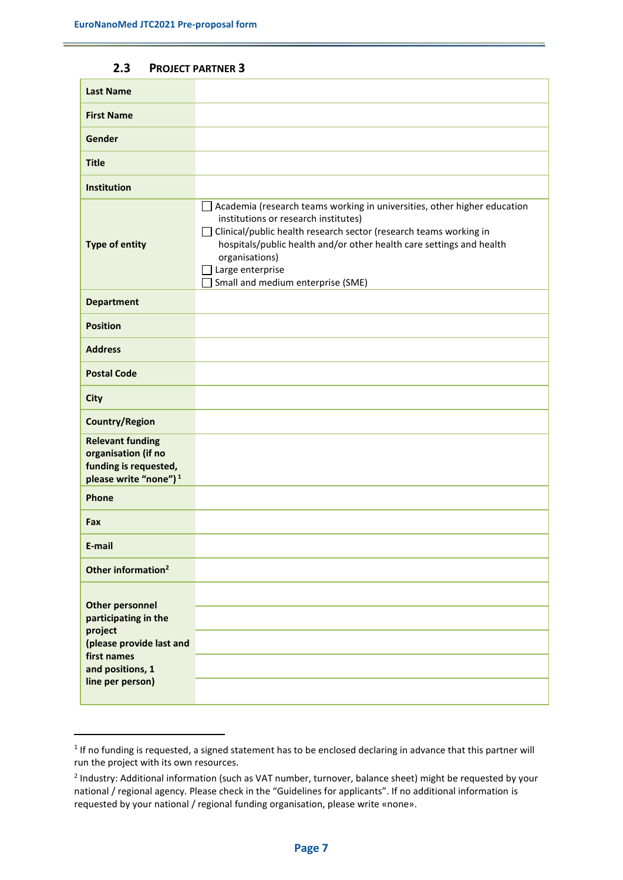#### **2.3 PROJECT PARTNER 3**

| <b>Last Name</b>                                                                                                                             |                                                                                                                                                                                                                                                                                                                                                 |
|----------------------------------------------------------------------------------------------------------------------------------------------|-------------------------------------------------------------------------------------------------------------------------------------------------------------------------------------------------------------------------------------------------------------------------------------------------------------------------------------------------|
| <b>First Name</b>                                                                                                                            |                                                                                                                                                                                                                                                                                                                                                 |
| Gender                                                                                                                                       |                                                                                                                                                                                                                                                                                                                                                 |
| <b>Title</b>                                                                                                                                 |                                                                                                                                                                                                                                                                                                                                                 |
| Institution                                                                                                                                  |                                                                                                                                                                                                                                                                                                                                                 |
| <b>Type of entity</b>                                                                                                                        | $\Box$ Academia (research teams working in universities, other higher education<br>institutions or research institutes)<br>Clinical/public health research sector (research teams working in<br>hospitals/public health and/or other health care settings and health<br>organisations)<br>Large enterprise<br>Small and medium enterprise (SME) |
| <b>Department</b>                                                                                                                            |                                                                                                                                                                                                                                                                                                                                                 |
| <b>Position</b>                                                                                                                              |                                                                                                                                                                                                                                                                                                                                                 |
| <b>Address</b>                                                                                                                               |                                                                                                                                                                                                                                                                                                                                                 |
| <b>Postal Code</b>                                                                                                                           |                                                                                                                                                                                                                                                                                                                                                 |
| <b>City</b>                                                                                                                                  |                                                                                                                                                                                                                                                                                                                                                 |
| <b>Country/Region</b>                                                                                                                        |                                                                                                                                                                                                                                                                                                                                                 |
| <b>Relevant funding</b><br>organisation (if no<br>funding is requested,<br>please write "none") <sup>1</sup>                                 |                                                                                                                                                                                                                                                                                                                                                 |
| Phone                                                                                                                                        |                                                                                                                                                                                                                                                                                                                                                 |
| Fax                                                                                                                                          |                                                                                                                                                                                                                                                                                                                                                 |
| E-mail                                                                                                                                       |                                                                                                                                                                                                                                                                                                                                                 |
| Other information <sup>2</sup>                                                                                                               |                                                                                                                                                                                                                                                                                                                                                 |
| <b>Other personnel</b><br>participating in the<br>project<br>(please provide last and<br>first names<br>and positions, 1<br>line per person) |                                                                                                                                                                                                                                                                                                                                                 |

 $1$  If no funding is requested, a signed statement has to be enclosed declaring in advance that this partner will run the project with its own resources.

<sup>&</sup>lt;sup>2</sup> Industry: Additional information (such as VAT number, turnover, balance sheet) might be requested by your national / regional agency. Please check in the "Guidelines for applicants". If no additional information is requested by your national / regional funding organisation, please write «none».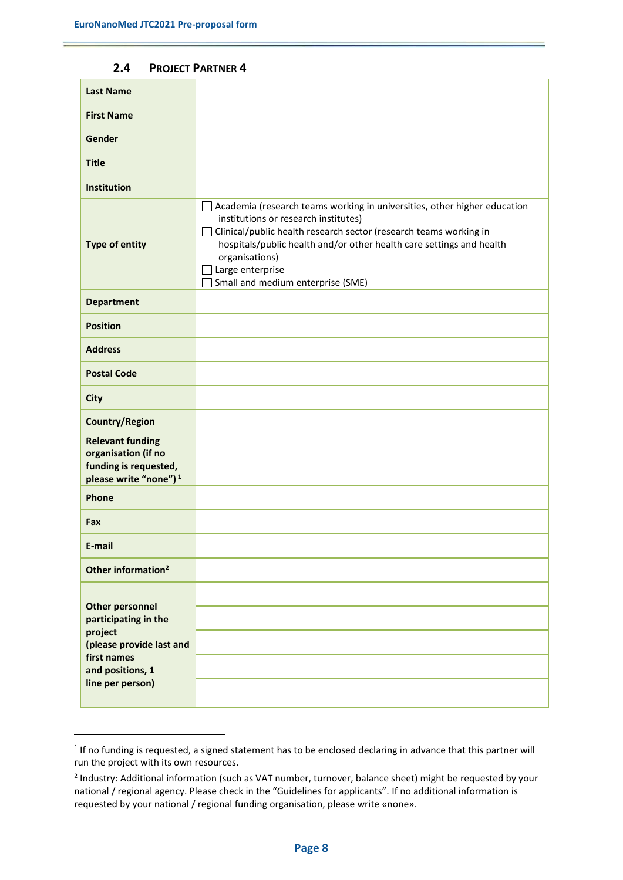#### **2.4 PROJECT PARTNER 4**

| <b>Last Name</b>                                                                                                                             |                                                                                                                                                                                                                                                                                                                                                                |
|----------------------------------------------------------------------------------------------------------------------------------------------|----------------------------------------------------------------------------------------------------------------------------------------------------------------------------------------------------------------------------------------------------------------------------------------------------------------------------------------------------------------|
| <b>First Name</b>                                                                                                                            |                                                                                                                                                                                                                                                                                                                                                                |
| Gender                                                                                                                                       |                                                                                                                                                                                                                                                                                                                                                                |
| <b>Title</b>                                                                                                                                 |                                                                                                                                                                                                                                                                                                                                                                |
| Institution                                                                                                                                  |                                                                                                                                                                                                                                                                                                                                                                |
| <b>Type of entity</b>                                                                                                                        | □ Academia (research teams working in universities, other higher education<br>institutions or research institutes)<br>Clinical/public health research sector (research teams working in<br>$\blacksquare$<br>hospitals/public health and/or other health care settings and health<br>organisations)<br>I Large enterprise<br>Small and medium enterprise (SME) |
| <b>Department</b>                                                                                                                            |                                                                                                                                                                                                                                                                                                                                                                |
| <b>Position</b>                                                                                                                              |                                                                                                                                                                                                                                                                                                                                                                |
| <b>Address</b>                                                                                                                               |                                                                                                                                                                                                                                                                                                                                                                |
| <b>Postal Code</b>                                                                                                                           |                                                                                                                                                                                                                                                                                                                                                                |
| <b>City</b>                                                                                                                                  |                                                                                                                                                                                                                                                                                                                                                                |
| <b>Country/Region</b>                                                                                                                        |                                                                                                                                                                                                                                                                                                                                                                |
| <b>Relevant funding</b><br>organisation (if no<br>funding is requested,<br>please write "none") <sup>1</sup>                                 |                                                                                                                                                                                                                                                                                                                                                                |
| Phone                                                                                                                                        |                                                                                                                                                                                                                                                                                                                                                                |
| Fax                                                                                                                                          |                                                                                                                                                                                                                                                                                                                                                                |
| E-mail                                                                                                                                       |                                                                                                                                                                                                                                                                                                                                                                |
| Other information <sup>2</sup>                                                                                                               |                                                                                                                                                                                                                                                                                                                                                                |
| <b>Other personnel</b><br>participating in the<br>project<br>(please provide last and<br>first names<br>and positions, 1<br>line per person) |                                                                                                                                                                                                                                                                                                                                                                |

 $1$  If no funding is requested, a signed statement has to be enclosed declaring in advance that this partner will run the project with its own resources.

<sup>&</sup>lt;sup>2</sup> Industry: Additional information (such as VAT number, turnover, balance sheet) might be requested by your national / regional agency. Please check in the "Guidelines for applicants". If no additional information is requested by your national / regional funding organisation, please write «none».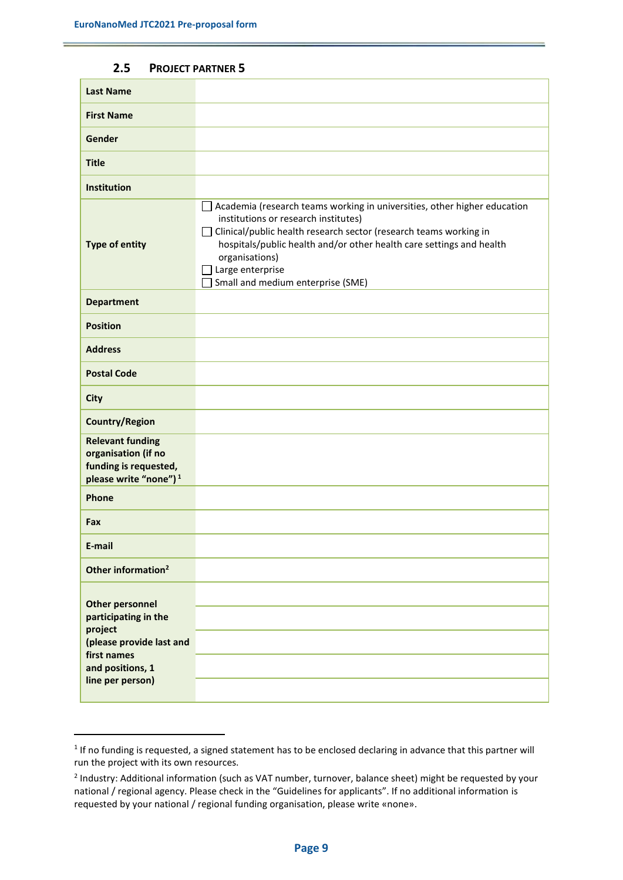#### **2.5 PROJECT PARTNER 5**

| $\Box$ Academia (research teams working in universities, other higher education<br>institutions or research institutes)<br>Clinical/public health research sector (research teams working in<br>hospitals/public health and/or other health care settings and health<br>organisations)<br>Large enterprise<br>Small and medium enterprise (SME) |
|-------------------------------------------------------------------------------------------------------------------------------------------------------------------------------------------------------------------------------------------------------------------------------------------------------------------------------------------------|
|                                                                                                                                                                                                                                                                                                                                                 |
|                                                                                                                                                                                                                                                                                                                                                 |
|                                                                                                                                                                                                                                                                                                                                                 |
|                                                                                                                                                                                                                                                                                                                                                 |
|                                                                                                                                                                                                                                                                                                                                                 |
|                                                                                                                                                                                                                                                                                                                                                 |
|                                                                                                                                                                                                                                                                                                                                                 |
|                                                                                                                                                                                                                                                                                                                                                 |
|                                                                                                                                                                                                                                                                                                                                                 |
|                                                                                                                                                                                                                                                                                                                                                 |
|                                                                                                                                                                                                                                                                                                                                                 |
|                                                                                                                                                                                                                                                                                                                                                 |
|                                                                                                                                                                                                                                                                                                                                                 |

 $1$  If no funding is requested, a signed statement has to be enclosed declaring in advance that this partner will run the project with its own resources.

<sup>&</sup>lt;sup>2</sup> Industry: Additional information (such as VAT number, turnover, balance sheet) might be requested by your national / regional agency. Please check in the "Guidelines for applicants". If no additional information is requested by your national / regional funding organisation, please write «none».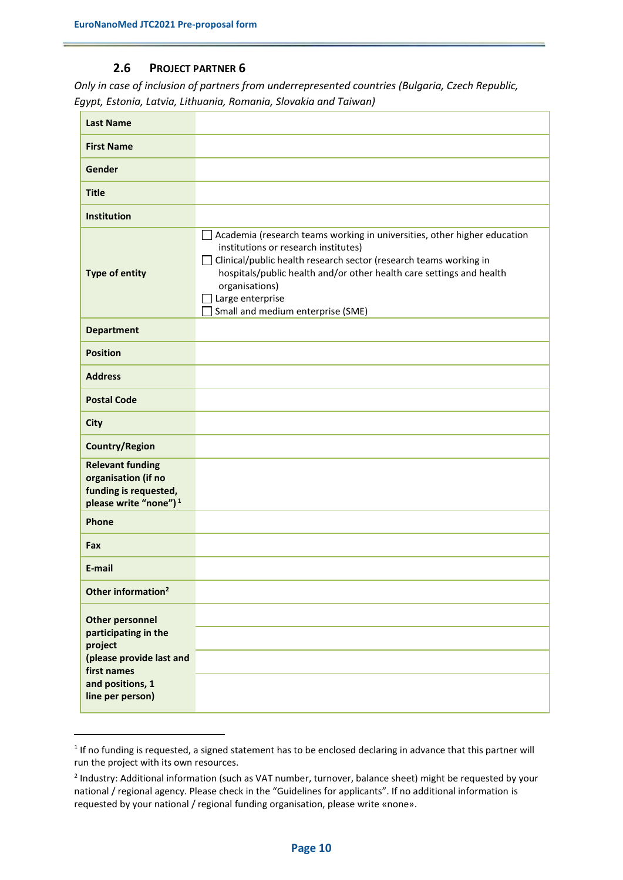#### **2.6 PROJECT PARTNER 6**

*Only in case of inclusion of partners from underrepresented countries (Bulgaria, Czech Republic, Egypt, Estonia, Latvia, Lithuania, Romania, Slovakia and Taiwan)*

| <b>Last Name</b>                                                                                                                             |                                                                                                                                                                                                                                                                                                                                                                             |
|----------------------------------------------------------------------------------------------------------------------------------------------|-----------------------------------------------------------------------------------------------------------------------------------------------------------------------------------------------------------------------------------------------------------------------------------------------------------------------------------------------------------------------------|
| <b>First Name</b>                                                                                                                            |                                                                                                                                                                                                                                                                                                                                                                             |
| Gender                                                                                                                                       |                                                                                                                                                                                                                                                                                                                                                                             |
| <b>Title</b>                                                                                                                                 |                                                                                                                                                                                                                                                                                                                                                                             |
| Institution                                                                                                                                  |                                                                                                                                                                                                                                                                                                                                                                             |
| <b>Type of entity</b>                                                                                                                        | $\Box$ Academia (research teams working in universities, other higher education<br>institutions or research institutes)<br>Clinical/public health research sector (research teams working in<br>$\overline{\phantom{0}}$<br>hospitals/public health and/or other health care settings and health<br>organisations)<br>Large enterprise<br>Small and medium enterprise (SME) |
| <b>Department</b>                                                                                                                            |                                                                                                                                                                                                                                                                                                                                                                             |
| <b>Position</b>                                                                                                                              |                                                                                                                                                                                                                                                                                                                                                                             |
| <b>Address</b>                                                                                                                               |                                                                                                                                                                                                                                                                                                                                                                             |
| <b>Postal Code</b>                                                                                                                           |                                                                                                                                                                                                                                                                                                                                                                             |
| <b>City</b>                                                                                                                                  |                                                                                                                                                                                                                                                                                                                                                                             |
| <b>Country/Region</b>                                                                                                                        |                                                                                                                                                                                                                                                                                                                                                                             |
| <b>Relevant funding</b><br>organisation (if no<br>funding is requested,<br>please write "none") <sup>1</sup>                                 |                                                                                                                                                                                                                                                                                                                                                                             |
| Phone                                                                                                                                        |                                                                                                                                                                                                                                                                                                                                                                             |
| Fax                                                                                                                                          |                                                                                                                                                                                                                                                                                                                                                                             |
| E-mail                                                                                                                                       |                                                                                                                                                                                                                                                                                                                                                                             |
| Other information <sup>2</sup>                                                                                                               |                                                                                                                                                                                                                                                                                                                                                                             |
| <b>Other personnel</b><br>participating in the<br>project<br>(please provide last and<br>first names<br>and positions, 1<br>line per person) |                                                                                                                                                                                                                                                                                                                                                                             |

 $1$  If no funding is requested, a signed statement has to be enclosed declaring in advance that this partner will run the project with its own resources.

<sup>&</sup>lt;sup>2</sup> Industry: Additional information (such as VAT number, turnover, balance sheet) might be requested by your national / regional agency. Please check in the "Guidelines for applicants". If no additional information is requested by your national / regional funding organisation, please write «none».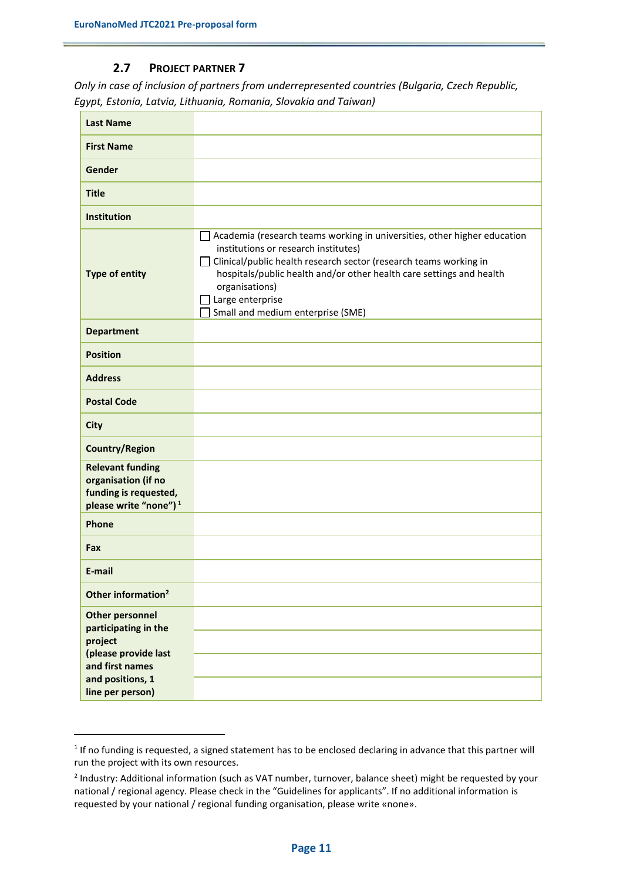#### **2.7 PROJECT PARTNER 7**

*Only in case of inclusion of partners from underrepresented countries (Bulgaria, Czech Republic, Egypt, Estonia, Latvia, Lithuania, Romania, Slovakia and Taiwan)*

| <b>Last Name</b>                                                                                                                             |                                                                                                                                                                                                                                                                                                                                                            |
|----------------------------------------------------------------------------------------------------------------------------------------------|------------------------------------------------------------------------------------------------------------------------------------------------------------------------------------------------------------------------------------------------------------------------------------------------------------------------------------------------------------|
| <b>First Name</b>                                                                                                                            |                                                                                                                                                                                                                                                                                                                                                            |
| Gender                                                                                                                                       |                                                                                                                                                                                                                                                                                                                                                            |
| <b>Title</b>                                                                                                                                 |                                                                                                                                                                                                                                                                                                                                                            |
| <b>Institution</b>                                                                                                                           |                                                                                                                                                                                                                                                                                                                                                            |
| <b>Type of entity</b>                                                                                                                        | $\Box$ Academia (research teams working in universities, other higher education<br>institutions or research institutes)<br>Clinical/public health research sector (research teams working in<br>$\perp$<br>hospitals/public health and/or other health care settings and health<br>organisations)<br>Large enterprise<br>Small and medium enterprise (SME) |
| <b>Department</b>                                                                                                                            |                                                                                                                                                                                                                                                                                                                                                            |
| <b>Position</b>                                                                                                                              |                                                                                                                                                                                                                                                                                                                                                            |
| <b>Address</b>                                                                                                                               |                                                                                                                                                                                                                                                                                                                                                            |
| <b>Postal Code</b>                                                                                                                           |                                                                                                                                                                                                                                                                                                                                                            |
| <b>City</b>                                                                                                                                  |                                                                                                                                                                                                                                                                                                                                                            |
| <b>Country/Region</b>                                                                                                                        |                                                                                                                                                                                                                                                                                                                                                            |
| <b>Relevant funding</b><br>organisation (if no<br>funding is requested,<br>please write "none") <sup>1</sup>                                 |                                                                                                                                                                                                                                                                                                                                                            |
| Phone                                                                                                                                        |                                                                                                                                                                                                                                                                                                                                                            |
| Fax                                                                                                                                          |                                                                                                                                                                                                                                                                                                                                                            |
| E-mail                                                                                                                                       |                                                                                                                                                                                                                                                                                                                                                            |
| Other information <sup>2</sup>                                                                                                               |                                                                                                                                                                                                                                                                                                                                                            |
| <b>Other personnel</b><br>participating in the<br>project<br>(please provide last<br>and first names<br>and positions, 1<br>line per person) |                                                                                                                                                                                                                                                                                                                                                            |

 $1$  If no funding is requested, a signed statement has to be enclosed declaring in advance that this partner will run the project with its own resources.

<sup>&</sup>lt;sup>2</sup> Industry: Additional information (such as VAT number, turnover, balance sheet) might be requested by your national / regional agency. Please check in the "Guidelines for applicants". If no additional information is requested by your national / regional funding organisation, please write «none».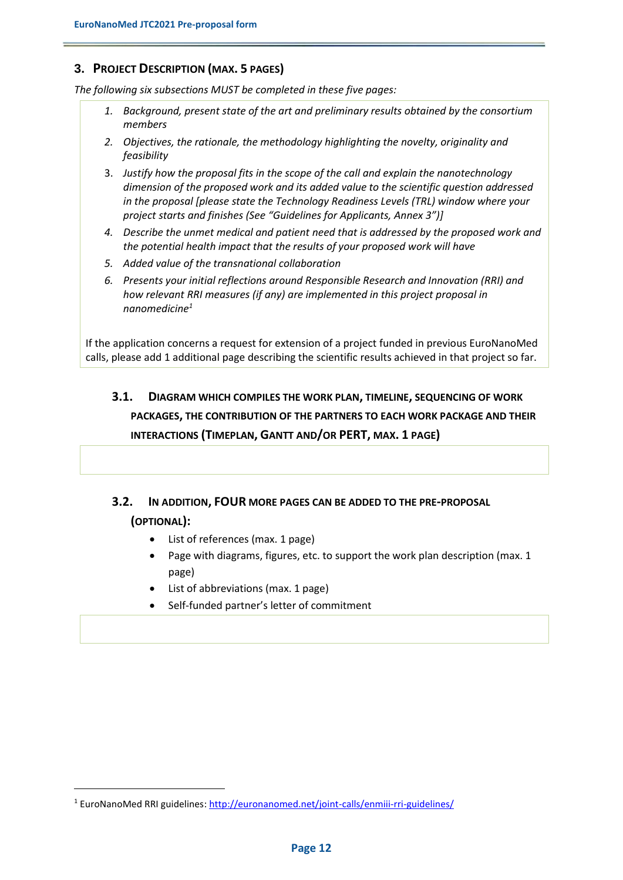#### **3. PROJECT DESCRIPTION (MAX. 5 PAGES)**

*The following six subsections MUST be completed in these five pages:*

- *1. Background, present state of the art and preliminary results obtained by the consortium members*
- *2. Objectives, the rationale, the methodology highlighting the novelty, originality and feasibility*
- 3. *Justify how the proposal fits in the scope of the call and explain the nanotechnology dimension of the proposed work and its added value to the scientific question addressed in the proposal [please state the Technology Readiness Levels (TRL) window where your project starts and finishes (See "Guidelines for Applicants, Annex 3")]*
- *4. Describe the unmet medical and patient need that is addressed by the proposed work and the potential health impact that the results of your proposed work will have*
- *5. Added value of the transnational collaboration*
- *6. Presents your initial reflections around Responsible Research and Innovation (RRI) and how relevant RRI measures (if any) are implemented in this project proposal in nanomedicine<sup>1</sup>*

If the application concerns a request for extension of a project funded in previous EuroNanoMed calls, please add 1 additional page describing the scientific results achieved in that project so far.

## **3.1. DIAGRAM WHICH COMPILES THE WORK PLAN, TIMELINE, SEQUENCING OF WORK PACKAGES, THE CONTRIBUTION OF THE PARTNERS TO EACH WORK PACKAGE AND THEIR INTERACTIONS (TIMEPLAN, GANTT AND/OR PERT, MAX. 1 PAGE)**

## **3.2. IN ADDITION, FOUR MORE PAGES CAN BE ADDED TO THE PRE-PROPOSAL (OPTIONAL):**

- List of references (max. 1 page)
- Page with diagrams, figures, etc. to support the work plan description (max. 1 page)
- List of abbreviations (max. 1 page)
- Self-funded partner's letter of commitment

 $\overline{\phantom{a}}$ 

<sup>1</sup> EuroNanoMed RRI guidelines: <http://euronanomed.net/joint-calls/enmiii-rri-guidelines/>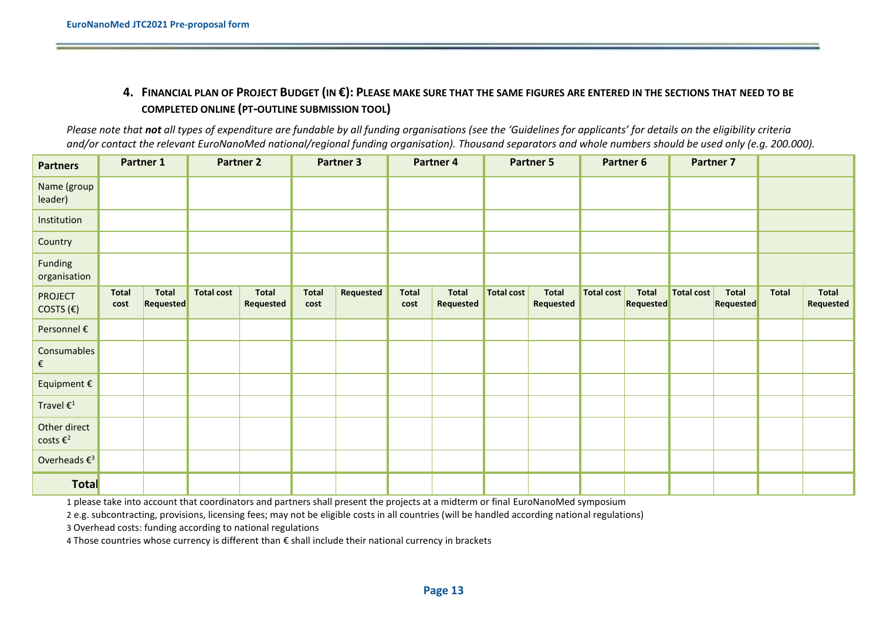## 4. FINANCIAL PLAN OF PROJECT BUDGET (IN €): PLEASE MAKE SURE THAT THE SAME FIGURES ARE ENTERED IN THE SECTIONS THAT NEED TO BE **COMPLETED ONLINE (PT-OUTLINE SUBMISSION TOOL)**

*Please note that not all types of expenditure are fundable by all funding organisations (see the 'Guidelines for applicants' for details on the eligibility criteria and/or contact the relevant EuroNanoMed national/regional funding organisation). Thousand separators and whole numbers should be used only (e.g. 200.000).*

| <b>Partners</b>                           |                      | Partner 1                 |                   | <b>Partner 2</b>   |                      | <b>Partner 3</b> |               | Partner 4                 |                   | <b>Partner 5</b>          |            | Partner 6                 | <b>Partner 7</b> |                                  |       |                    |
|-------------------------------------------|----------------------|---------------------------|-------------------|--------------------|----------------------|------------------|---------------|---------------------------|-------------------|---------------------------|------------|---------------------------|------------------|----------------------------------|-------|--------------------|
| Name (group<br>leader)                    |                      |                           |                   |                    |                      |                  |               |                           |                   |                           |            |                           |                  |                                  |       |                    |
| Institution                               |                      |                           |                   |                    |                      |                  |               |                           |                   |                           |            |                           |                  |                                  |       |                    |
| Country                                   |                      |                           |                   |                    |                      |                  |               |                           |                   |                           |            |                           |                  |                                  |       |                    |
| Funding<br>organisation                   |                      |                           |                   |                    |                      |                  |               |                           |                   |                           |            |                           |                  |                                  |       |                    |
| <b>PROJECT</b><br>COSTS $(E)$             | <b>Total</b><br>cost | <b>Total</b><br>Requested | <b>Total cost</b> | Total<br>Requested | <b>Total</b><br>cost | Requested        | Total<br>cost | <b>Total</b><br>Requested | <b>Total cost</b> | <b>Total</b><br>Requested | Total cost | <b>Total</b><br>Requested | Total cost       | <b>Total</b><br><b>Requested</b> | Total | Total<br>Requested |
| Personnel €                               |                      |                           |                   |                    |                      |                  |               |                           |                   |                           |            |                           |                  |                                  |       |                    |
| Consumables<br>€                          |                      |                           |                   |                    |                      |                  |               |                           |                   |                           |            |                           |                  |                                  |       |                    |
| Equipment $\epsilon$                      |                      |                           |                   |                    |                      |                  |               |                           |                   |                           |            |                           |                  |                                  |       |                    |
| Travel $\boldsymbol{\epsilon}^{\text{1}}$ |                      |                           |                   |                    |                      |                  |               |                           |                   |                           |            |                           |                  |                                  |       |                    |
| Other direct<br>costs $\epsilon^2$        |                      |                           |                   |                    |                      |                  |               |                           |                   |                           |            |                           |                  |                                  |       |                    |
| Overheads $\epsilon^3$                    |                      |                           |                   |                    |                      |                  |               |                           |                   |                           |            |                           |                  |                                  |       |                    |
| <b>Total</b>                              |                      |                           |                   |                    |                      |                  |               |                           |                   |                           |            |                           |                  |                                  |       |                    |

1 please take into account that coordinators and partners shall present the projects at a midterm or final EuroNanoMed symposium

2 e.g. subcontracting, provisions, licensing fees; may not be eligible costs in all countries (will be handled according national regulations)

3 Overhead costs: funding according to national regulations

4 Those countries whose currency is different than € shall include their national currency in brackets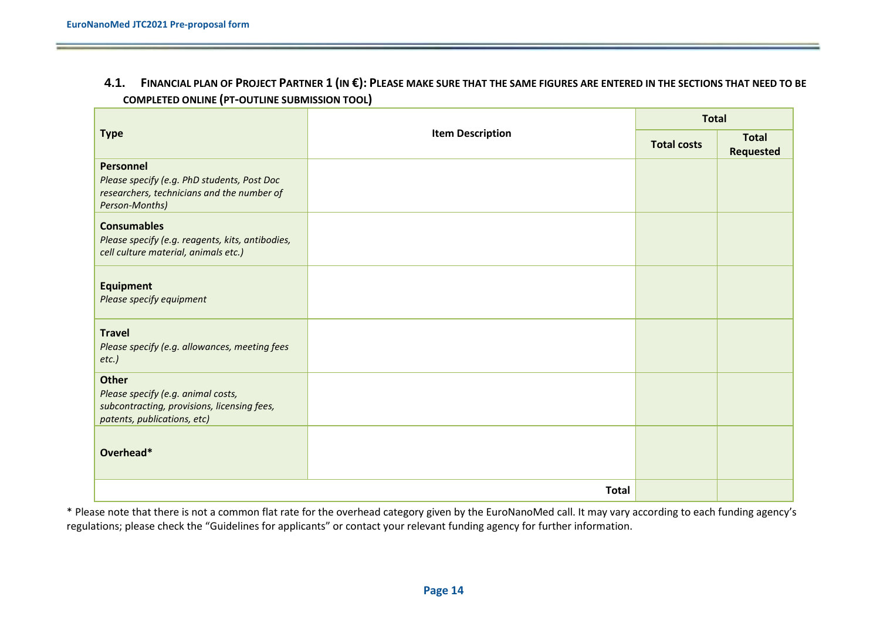## 4.1. FINANCIAL PLAN OF PROJECT PARTNER 1 (IN €): PLEASE MAKE SURE THAT THE SAME FIGURES ARE ENTERED IN THE SECTIONS THAT NEED TO BE **COMPLETED ONLINE (PT-OUTLINE SUBMISSION TOOL)**

|                                                                                                                                  |                         | <b>Total</b>       |                                  |  |
|----------------------------------------------------------------------------------------------------------------------------------|-------------------------|--------------------|----------------------------------|--|
| <b>Type</b>                                                                                                                      | <b>Item Description</b> | <b>Total costs</b> | <b>Total</b><br><b>Requested</b> |  |
| Personnel<br>Please specify (e.g. PhD students, Post Doc<br>researchers, technicians and the number of<br>Person-Months)         |                         |                    |                                  |  |
| <b>Consumables</b><br>Please specify (e.g. reagents, kits, antibodies,<br>cell culture material, animals etc.)                   |                         |                    |                                  |  |
| <b>Equipment</b><br>Please specify equipment                                                                                     |                         |                    |                                  |  |
| <b>Travel</b><br>Please specify (e.g. allowances, meeting fees<br>etc.)                                                          |                         |                    |                                  |  |
| <b>Other</b><br>Please specify (e.g. animal costs,<br>subcontracting, provisions, licensing fees,<br>patents, publications, etc) |                         |                    |                                  |  |
| Overhead*                                                                                                                        |                         |                    |                                  |  |
|                                                                                                                                  | <b>Total</b>            |                    |                                  |  |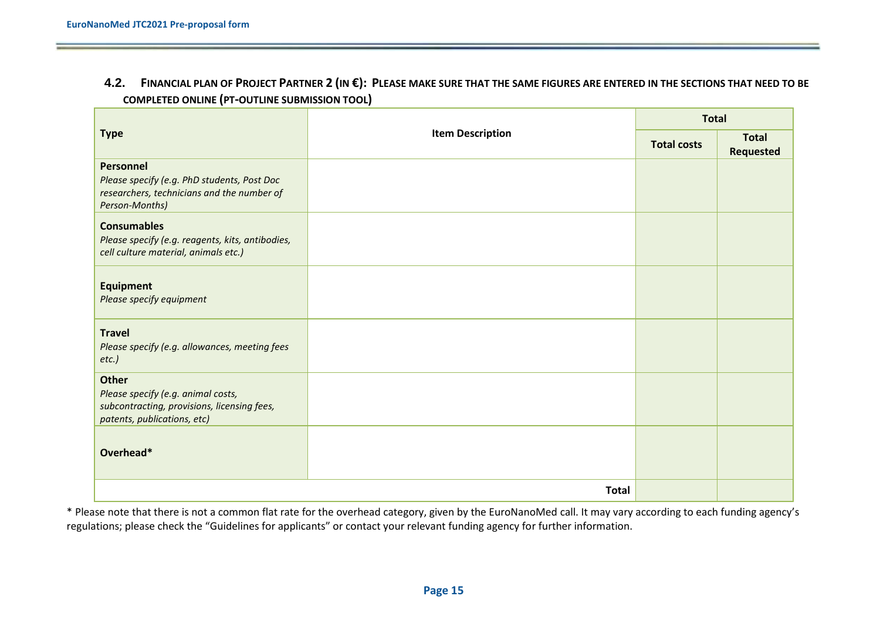## 4.2. FINANCIAL PLAN OF PROJECT PARTNER 2 (IN €): PLEASE MAKE SURE THAT THE SAME FIGURES ARE ENTERED IN THE SECTIONS THAT NEED TO BE **COMPLETED ONLINE (PT-OUTLINE SUBMISSION TOOL)**

|                                                                                                                                  |                         | <b>Total</b>       |                                  |  |
|----------------------------------------------------------------------------------------------------------------------------------|-------------------------|--------------------|----------------------------------|--|
| <b>Type</b>                                                                                                                      | <b>Item Description</b> | <b>Total costs</b> | <b>Total</b><br><b>Requested</b> |  |
| Personnel<br>Please specify (e.g. PhD students, Post Doc<br>researchers, technicians and the number of<br>Person-Months)         |                         |                    |                                  |  |
| <b>Consumables</b><br>Please specify (e.g. reagents, kits, antibodies,<br>cell culture material, animals etc.)                   |                         |                    |                                  |  |
| <b>Equipment</b><br>Please specify equipment                                                                                     |                         |                    |                                  |  |
| <b>Travel</b><br>Please specify (e.g. allowances, meeting fees<br>etc.)                                                          |                         |                    |                                  |  |
| <b>Other</b><br>Please specify (e.g. animal costs,<br>subcontracting, provisions, licensing fees,<br>patents, publications, etc) |                         |                    |                                  |  |
| Overhead*                                                                                                                        |                         |                    |                                  |  |
|                                                                                                                                  | <b>Total</b>            |                    |                                  |  |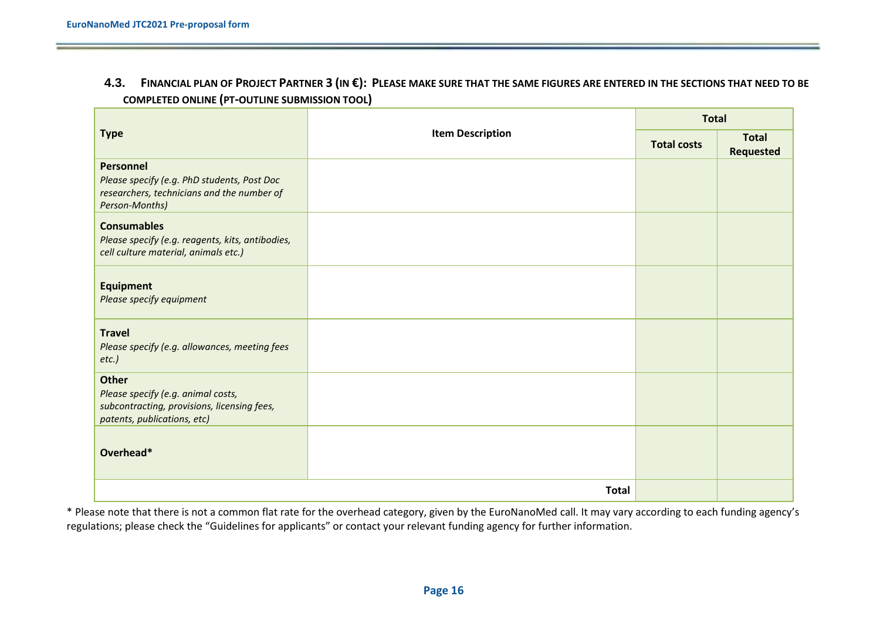## 4.3. FINANCIAL PLAN OF PROJECT PARTNER 3 (IN €): PLEASE MAKE SURE THAT THE SAME FIGURES ARE ENTERED IN THE SECTIONS THAT NEED TO BE **COMPLETED ONLINE (PT-OUTLINE SUBMISSION TOOL)**

|                                                                                                                                  |                         | <b>Total</b>       |                                  |  |
|----------------------------------------------------------------------------------------------------------------------------------|-------------------------|--------------------|----------------------------------|--|
| <b>Type</b>                                                                                                                      | <b>Item Description</b> | <b>Total costs</b> | <b>Total</b><br><b>Requested</b> |  |
| Personnel<br>Please specify (e.g. PhD students, Post Doc<br>researchers, technicians and the number of<br>Person-Months)         |                         |                    |                                  |  |
| <b>Consumables</b><br>Please specify (e.g. reagents, kits, antibodies,<br>cell culture material, animals etc.)                   |                         |                    |                                  |  |
| <b>Equipment</b><br>Please specify equipment                                                                                     |                         |                    |                                  |  |
| <b>Travel</b><br>Please specify (e.g. allowances, meeting fees<br>etc.)                                                          |                         |                    |                                  |  |
| <b>Other</b><br>Please specify (e.g. animal costs,<br>subcontracting, provisions, licensing fees,<br>patents, publications, etc) |                         |                    |                                  |  |
| Overhead*                                                                                                                        |                         |                    |                                  |  |
|                                                                                                                                  | <b>Total</b>            |                    |                                  |  |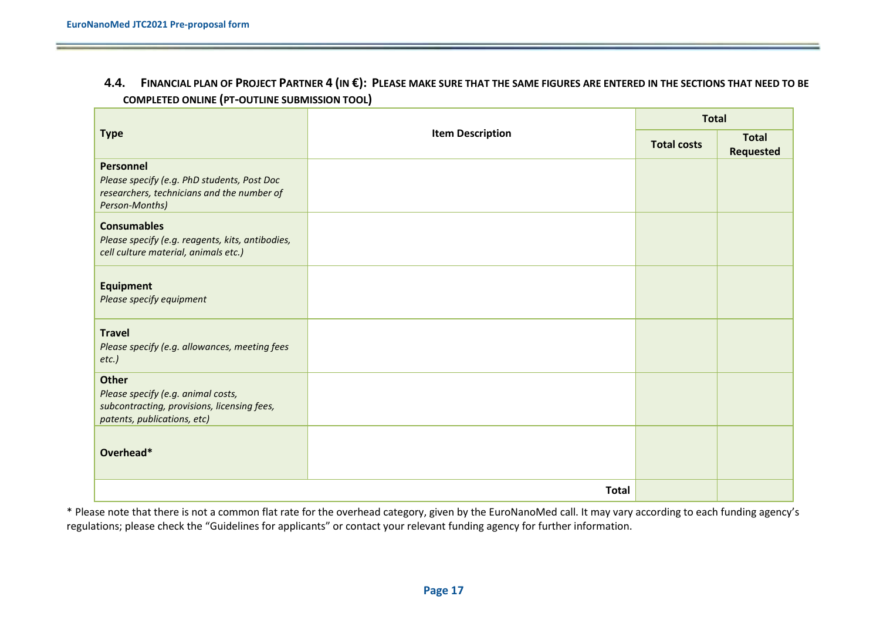## 4.4. FINANCIAL PLAN OF PROJECT PARTNER 4 (IN €): PLEASE MAKE SURE THAT THE SAME FIGURES ARE ENTERED IN THE SECTIONS THAT NEED TO BE **COMPLETED ONLINE (PT-OUTLINE SUBMISSION TOOL)**

|                                                                                                                                  |                         | <b>Total</b>       |                                  |  |
|----------------------------------------------------------------------------------------------------------------------------------|-------------------------|--------------------|----------------------------------|--|
| <b>Type</b>                                                                                                                      | <b>Item Description</b> | <b>Total costs</b> | <b>Total</b><br><b>Requested</b> |  |
| <b>Personnel</b><br>Please specify (e.g. PhD students, Post Doc<br>researchers, technicians and the number of<br>Person-Months)  |                         |                    |                                  |  |
| <b>Consumables</b><br>Please specify (e.g. reagents, kits, antibodies,<br>cell culture material, animals etc.)                   |                         |                    |                                  |  |
| <b>Equipment</b><br>Please specify equipment                                                                                     |                         |                    |                                  |  |
| <b>Travel</b><br>Please specify (e.g. allowances, meeting fees<br>$etc.$ )                                                       |                         |                    |                                  |  |
| <b>Other</b><br>Please specify (e.g. animal costs,<br>subcontracting, provisions, licensing fees,<br>patents, publications, etc) |                         |                    |                                  |  |
| Overhead*                                                                                                                        |                         |                    |                                  |  |
|                                                                                                                                  | <b>Total</b>            |                    |                                  |  |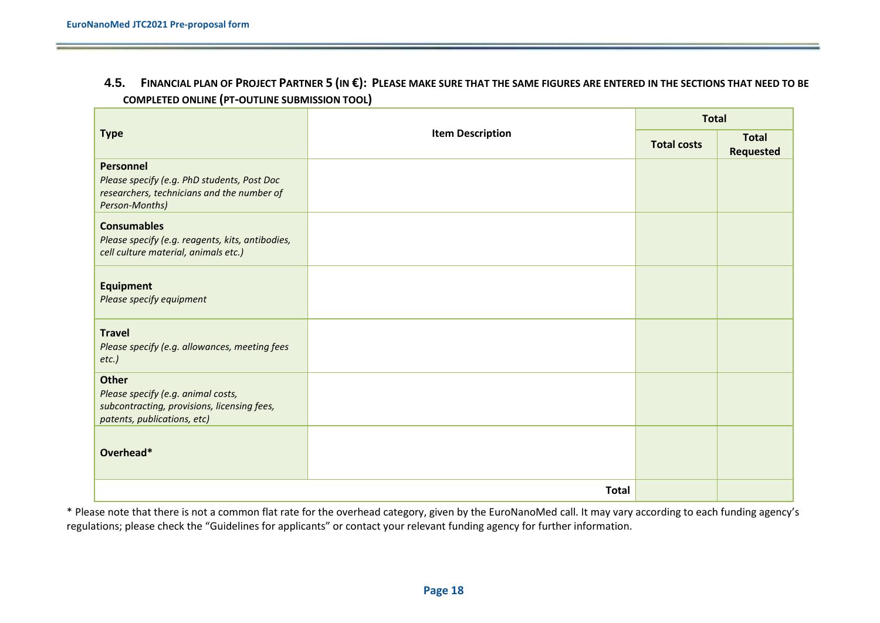## 4.5. FINANCIAL PLAN OF PROJECT PARTNER 5 (IN €): PLEASE MAKE SURE THAT THE SAME FIGURES ARE ENTERED IN THE SECTIONS THAT NEED TO BE **COMPLETED ONLINE (PT-OUTLINE SUBMISSION TOOL)**

|                                                                                                                                  |                         | <b>Total</b>       |                           |  |
|----------------------------------------------------------------------------------------------------------------------------------|-------------------------|--------------------|---------------------------|--|
| <b>Type</b>                                                                                                                      | <b>Item Description</b> | <b>Total costs</b> | <b>Total</b><br>Requested |  |
| Personnel<br>Please specify (e.g. PhD students, Post Doc<br>researchers, technicians and the number of<br>Person-Months)         |                         |                    |                           |  |
| <b>Consumables</b><br>Please specify (e.g. reagents, kits, antibodies,<br>cell culture material, animals etc.)                   |                         |                    |                           |  |
| <b>Equipment</b><br>Please specify equipment                                                                                     |                         |                    |                           |  |
| <b>Travel</b><br>Please specify (e.g. allowances, meeting fees<br>etc.)                                                          |                         |                    |                           |  |
| <b>Other</b><br>Please specify (e.g. animal costs,<br>subcontracting, provisions, licensing fees,<br>patents, publications, etc) |                         |                    |                           |  |
| Overhead*                                                                                                                        |                         |                    |                           |  |
|                                                                                                                                  | <b>Total</b>            |                    |                           |  |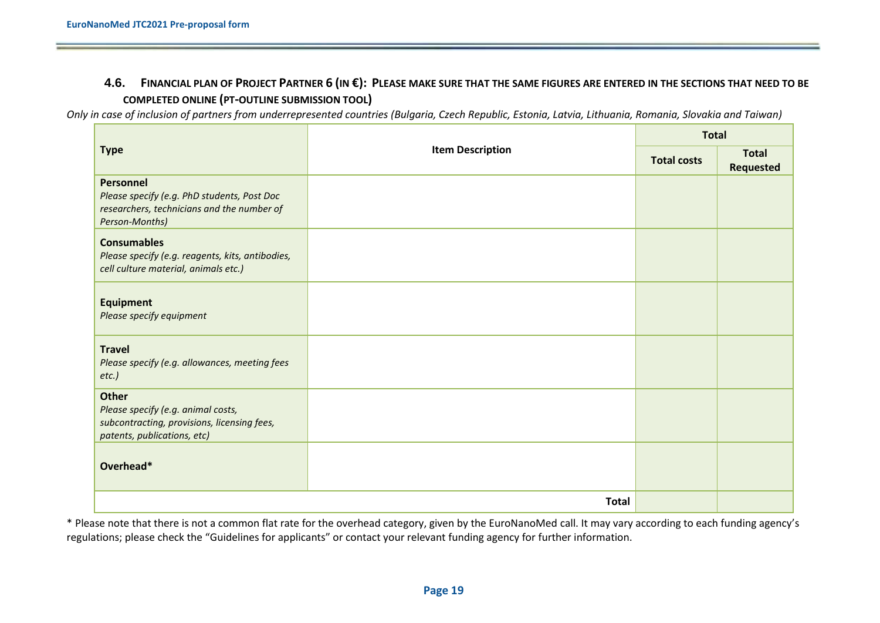### 4.6. FINANCIAL PLAN OF PROJECT PARTNER 6 (IN €): PLEASE MAKE SURE THAT THE SAME FIGURES ARE ENTERED IN THE SECTIONS THAT NEED TO BE **COMPLETED ONLINE (PT-OUTLINE SUBMISSION TOOL)**

*Only in case of inclusion of partners from underrepresented countries (Bulgaria, Czech Republic, Estonia, Latvia, Lithuania, Romania, Slovakia and Taiwan)*

|                                                                                                                                  |                         | <b>Total</b>       |                                  |
|----------------------------------------------------------------------------------------------------------------------------------|-------------------------|--------------------|----------------------------------|
| <b>Type</b>                                                                                                                      | <b>Item Description</b> | <b>Total costs</b> | <b>Total</b><br><b>Requested</b> |
| Personnel<br>Please specify (e.g. PhD students, Post Doc<br>researchers, technicians and the number of<br>Person-Months)         |                         |                    |                                  |
| <b>Consumables</b><br>Please specify (e.g. reagents, kits, antibodies,<br>cell culture material, animals etc.)                   |                         |                    |                                  |
| <b>Equipment</b><br>Please specify equipment                                                                                     |                         |                    |                                  |
| <b>Travel</b><br>Please specify (e.g. allowances, meeting fees<br>etc.)                                                          |                         |                    |                                  |
| <b>Other</b><br>Please specify (e.g. animal costs,<br>subcontracting, provisions, licensing fees,<br>patents, publications, etc) |                         |                    |                                  |
| Overhead*                                                                                                                        |                         |                    |                                  |
|                                                                                                                                  | <b>Total</b>            |                    |                                  |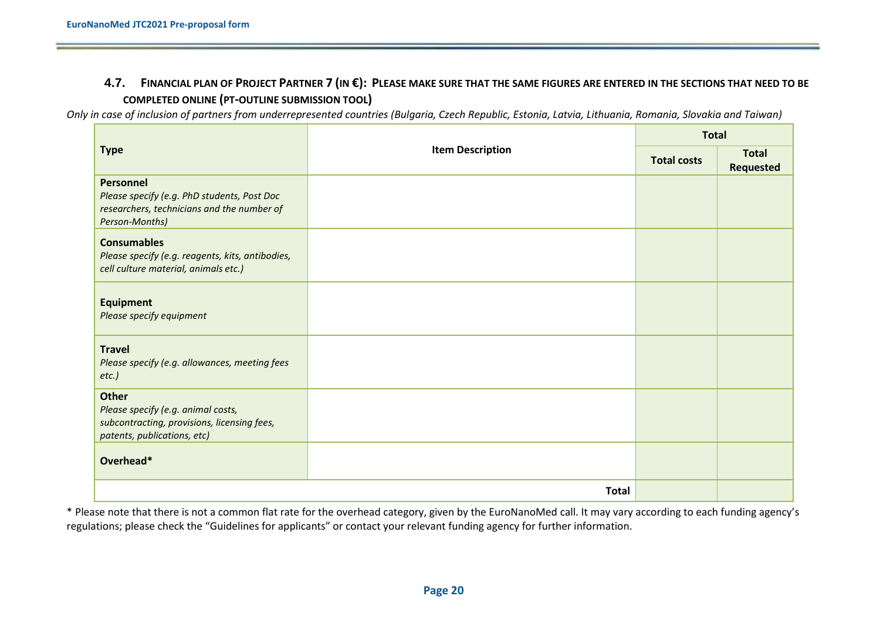### 4.7. FINANCIAL PLAN OF PROJECT PARTNER 7 (IN €): PLEASE MAKE SURE THAT THE SAME FIGURES ARE ENTERED IN THE SECTIONS THAT NEED TO BE **COMPLETED ONLINE (PT-OUTLINE SUBMISSION TOOL)**

*Only in case of inclusion of partners from underrepresented countries (Bulgaria, Czech Republic, Estonia, Latvia, Lithuania, Romania, Slovakia and Taiwan)*

|                                                                                                                           |                         | <b>Total</b>       |                           |  |
|---------------------------------------------------------------------------------------------------------------------------|-------------------------|--------------------|---------------------------|--|
| <b>Type</b>                                                                                                               | <b>Item Description</b> | <b>Total costs</b> | <b>Total</b><br>Requested |  |
| Personnel<br>Please specify (e.g. PhD students, Post Doc<br>researchers, technicians and the number of<br>Person-Months)  |                         |                    |                           |  |
| <b>Consumables</b><br>Please specify (e.g. reagents, kits, antibodies,<br>cell culture material, animals etc.)            |                         |                    |                           |  |
| <b>Equipment</b><br>Please specify equipment                                                                              |                         |                    |                           |  |
| <b>Travel</b><br>Please specify (e.g. allowances, meeting fees<br>$etc.$ )                                                |                         |                    |                           |  |
| Other<br>Please specify (e.g. animal costs,<br>subcontracting, provisions, licensing fees,<br>patents, publications, etc) |                         |                    |                           |  |
| Overhead*                                                                                                                 |                         |                    |                           |  |
|                                                                                                                           | <b>Total</b>            |                    |                           |  |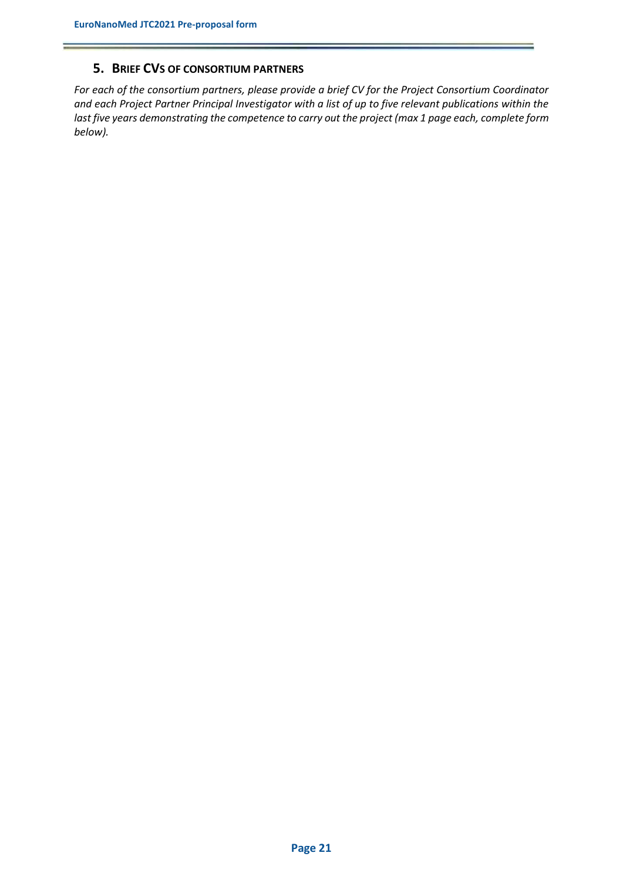#### **5. BRIEF CVS OF CONSORTIUM PARTNERS**

*For each of the consortium partners, please provide a brief CV for the Project Consortium Coordinator and each Project Partner Principal Investigator with a list of up to five relevant publications within the*  last five years demonstrating the competence to carry out the project (max 1 page each, complete form *below).*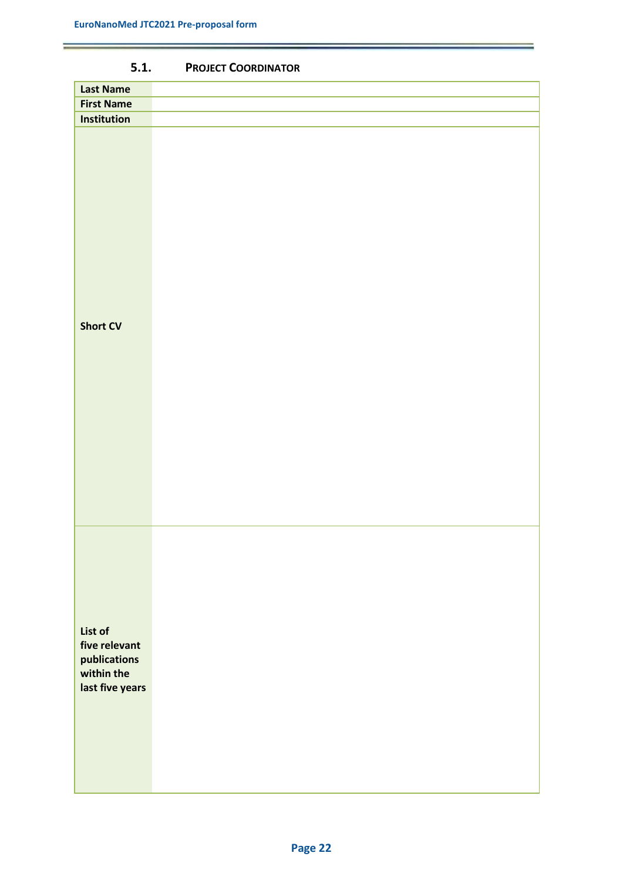| <b>Last Name</b>                                                          |  |
|---------------------------------------------------------------------------|--|
| <b>First Name</b>                                                         |  |
| Institution                                                               |  |
| <b>Short CV</b>                                                           |  |
| List of<br>five relevant<br>publications<br>within the<br>last five years |  |

## **5.1. PROJECT COORDINATOR**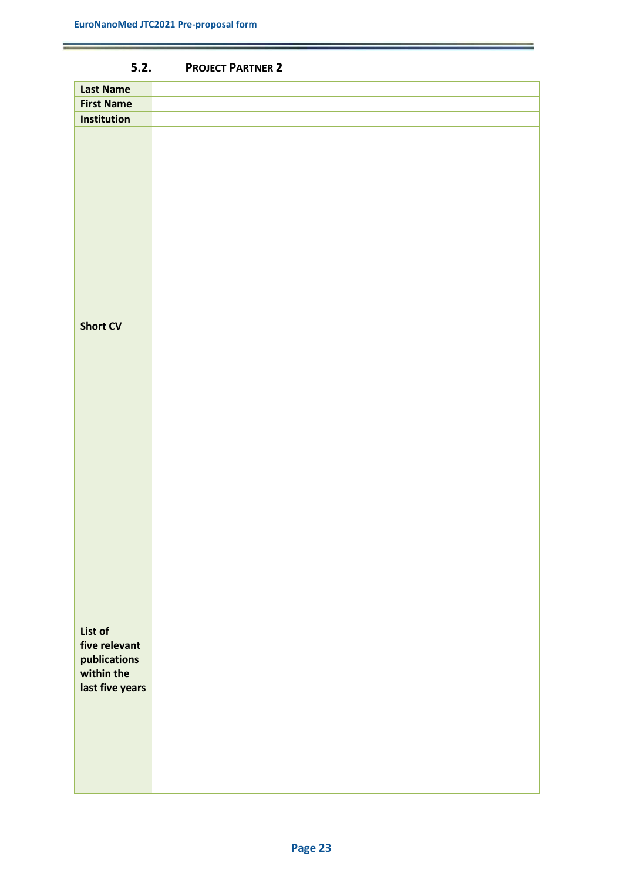| <b>Last Name</b>                                                          |  |
|---------------------------------------------------------------------------|--|
| <b>First Name</b>                                                         |  |
| Institution                                                               |  |
| <b>Short CV</b>                                                           |  |
| List of<br>five relevant<br>publications<br>within the<br>last five years |  |

## **5.2. PROJECT PARTNER 2**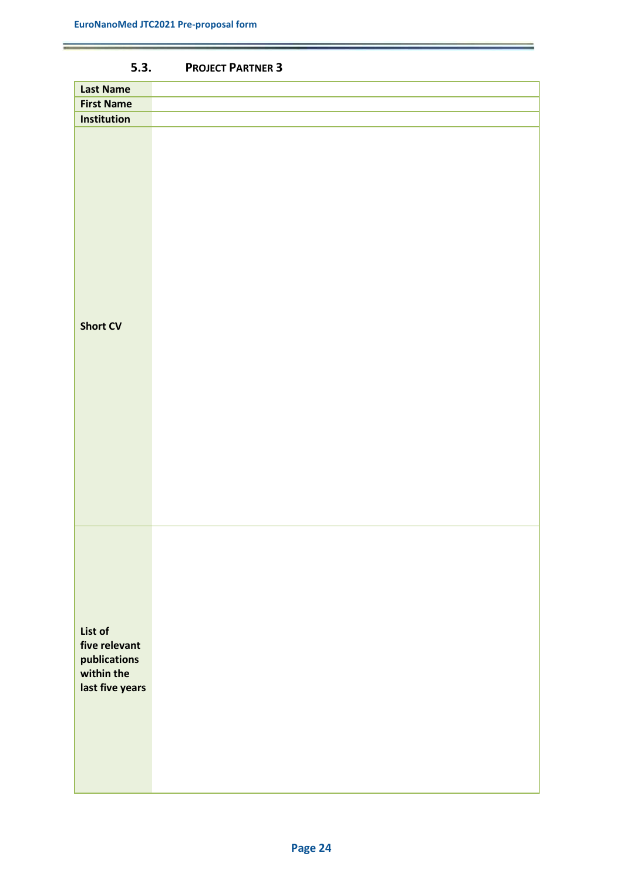| <b>Last Name</b>                                                          |  |
|---------------------------------------------------------------------------|--|
| <b>First Name</b>                                                         |  |
| <b>Institution</b>                                                        |  |
| <b>Short CV</b>                                                           |  |
| List of<br>five relevant<br>publications<br>within the<br>last five years |  |

## **5.3. PROJECT PARTNER 3**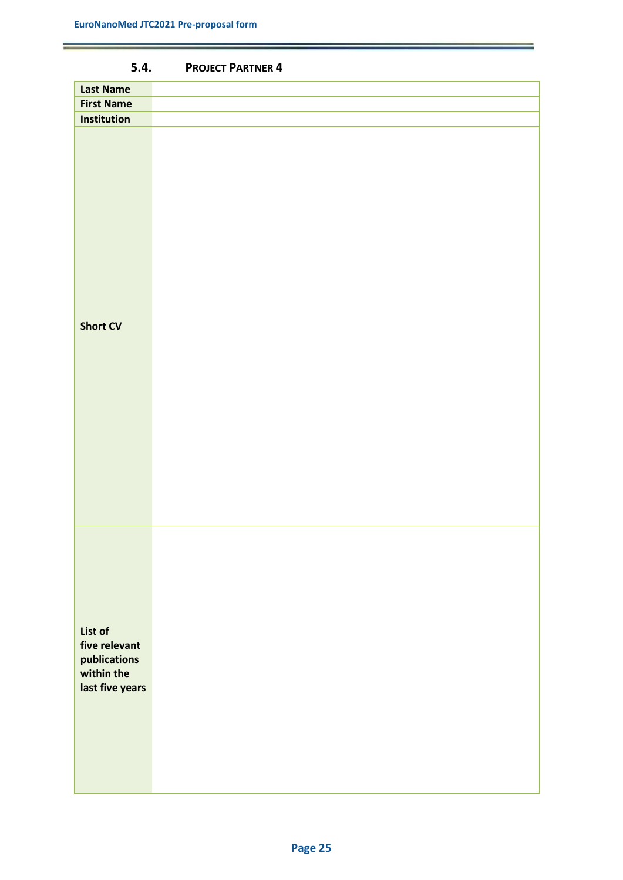| <b>Last Name</b>                                                          |  |
|---------------------------------------------------------------------------|--|
| <b>First Name</b>                                                         |  |
| Institution                                                               |  |
| <b>Short CV</b>                                                           |  |
| List of<br>five relevant<br>publications<br>within the<br>last five years |  |

## **5.4. PROJECT PARTNER 4**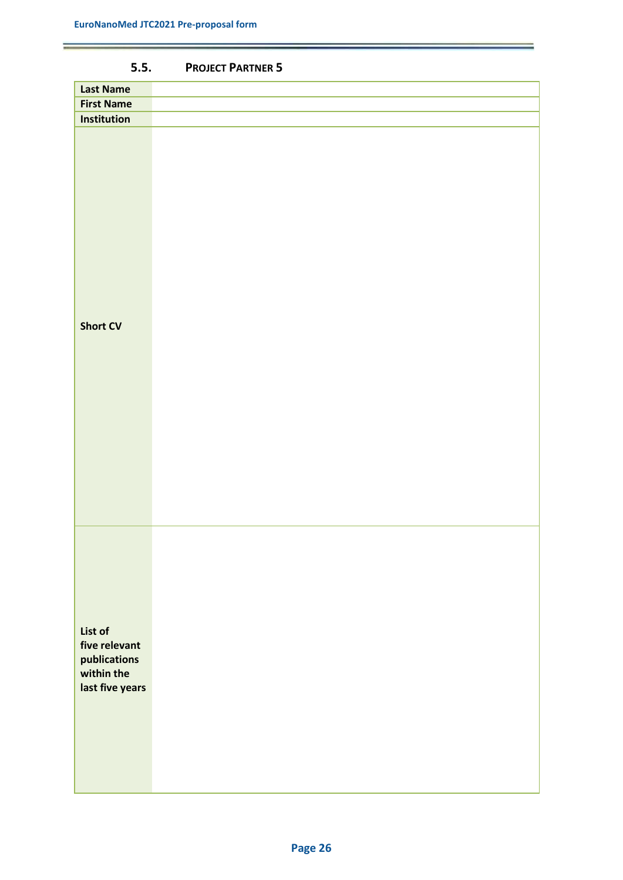| <b>Last Name</b>                                                          |  |
|---------------------------------------------------------------------------|--|
| <b>First Name</b>                                                         |  |
| Institution                                                               |  |
| <b>Short CV</b>                                                           |  |
| List of<br>five relevant<br>publications<br>within the<br>last five years |  |

## **5.5. PROJECT PARTNER 5**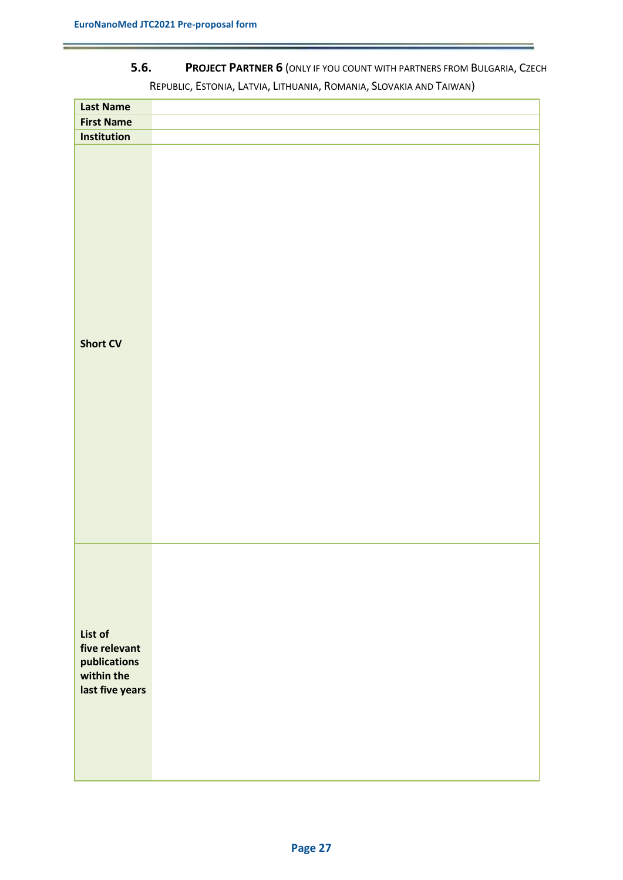## **5.6. PROJECT PARTNER 6** (ONLY IF YOU COUNT WITH PARTNERS FROM BULGARIA, CZECH REPUBLIC, ESTONIA, LATVIA, LITHUANIA, ROMANIA, SLOVAKIA AND TAIWAN)

| <b>Last Name</b>                                                          |  |
|---------------------------------------------------------------------------|--|
| <b>First Name</b>                                                         |  |
| Institution                                                               |  |
| <b>Short CV</b>                                                           |  |
| List of<br>five relevant<br>publications<br>within the<br>last five years |  |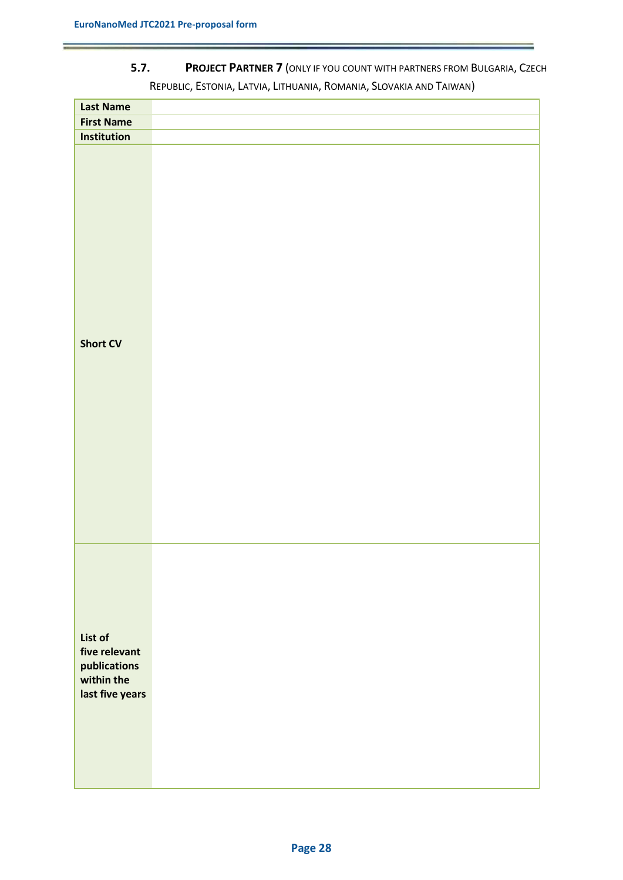## **5.7. PROJECT PARTNER 7** (ONLY IF YOU COUNT WITH PARTNERS FROM BULGARIA, CZECH REPUBLIC, ESTONIA, LATVIA, LITHUANIA, ROMANIA, SLOVAKIA AND TAIWAN)

| <b>Last Name</b>                                                          |  |
|---------------------------------------------------------------------------|--|
| <b>First Name</b>                                                         |  |
| Institution                                                               |  |
| <b>Short CV</b>                                                           |  |
| List of<br>five relevant<br>publications<br>within the<br>last five years |  |